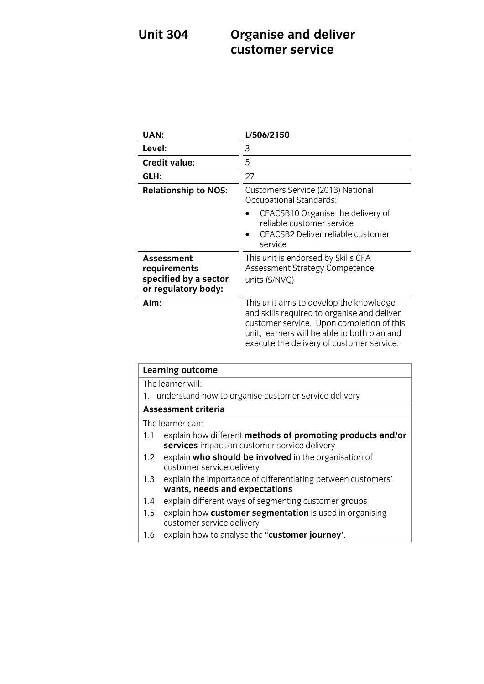# **Unit 3044 CLISTER AND DELIVER CONTROL customer service**

| <b>UAN:</b>                                                                | L/506/2150                                                                                                                                                                                                                       |
|----------------------------------------------------------------------------|----------------------------------------------------------------------------------------------------------------------------------------------------------------------------------------------------------------------------------|
| Level:                                                                     | 3                                                                                                                                                                                                                                |
| <b>Credit value:</b>                                                       | 5                                                                                                                                                                                                                                |
| GLH:                                                                       | 27                                                                                                                                                                                                                               |
| <b>Relationship to NOS:</b>                                                | Customers Service (2013) National<br>Occupational Standards:<br>CFACSB10 Organise the delivery of<br>reliable customer service<br>CFACSB2 Deliver reliable customer<br>service                                                   |
| Assessment<br>requirements<br>specified by a sector<br>or regulatory body: | This unit is endorsed by Skills CFA<br>Assessment Strategy Competence<br>units (S/NVQ)                                                                                                                                           |
| Aim:                                                                       | This unit aims to develop the knowledge<br>and skills required to organise and deliver<br>customer service. Upon completion of this<br>unit, learners will be able to both plan and<br>execute the delivery of customer service. |

| <b>Learning outcome</b>                                                                                           |  |
|-------------------------------------------------------------------------------------------------------------------|--|
| The learner will:                                                                                                 |  |
| understand how to organise customer service delivery<br>1.                                                        |  |
| Assessment criteria                                                                                               |  |
| The learner can:                                                                                                  |  |
| explain how different methods of promoting products and/or<br>1.1<br>services impact on customer service delivery |  |
| explain who should be involved in the organisation of<br>1.2 <sub>1</sub><br>customer service delivery            |  |
| explain the importance of differentiating between customers'<br>1.3<br>wants, needs and expectations              |  |
| explain different ways of segmenting customer groups<br>1.4                                                       |  |
| explain how customer segmentation is used in organising<br>1.5<br>customer service delivery                       |  |
| explain how to analyse the "customer journey'.<br>1.6                                                             |  |
|                                                                                                                   |  |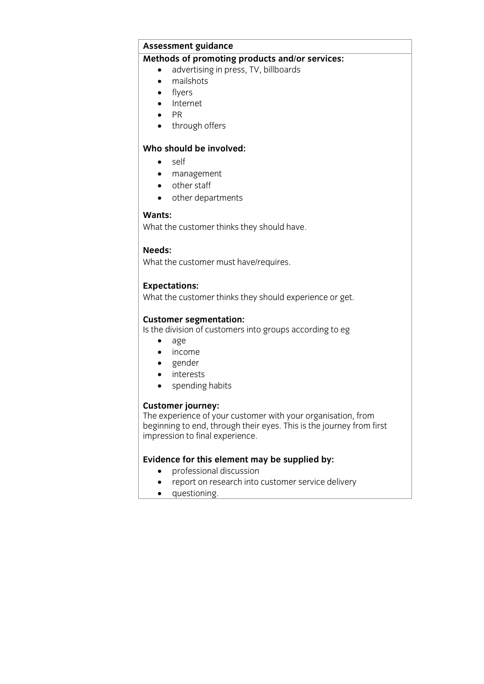# **Assessment guidance<br>Methods of promoting products and/or services:**

- **Methods of products**<br> **a** mailshots<br> **a** mailshots
	- mailshots
	- flyers
	- Internet<br>• PR
	- $\bullet$  PR<br> $\bullet$  the
	- through offers

### Who should be involved: Who should be involved: **Who should be involved:**

- $\bullet$  self
- management
- other staff
- other departments

### Wants:

**Wants:** What the customer thinks they should have the customer than the should have the should have the should have the

### Needs:

**What th** What the customer must have/requires.

**Experience**<br>What the curte What the customer thinks they should experience of get.

**Customer segmentation:** Is the division of customers into groups according to eg

- $age$
- income
- gender
- interests<br>• spending
- spending habits

**Customer journey:**<br>The experience of your customer with your organisation, from beginning to end, through their eyes. This is the journey from first beginning to end, through their eyes. The is the journey from most<br>impression to final experience impression to final experience.

- 
- professional discussion<br>• **professional discussion** • report on research into customer service delivery
	- questioning.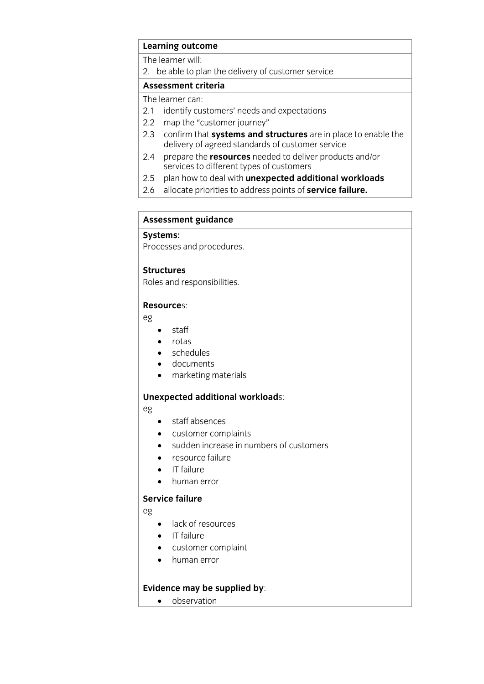# **Learning outcome**<br>The learner will:

2. be able to plan the delivery of customer service

## Assessment criteria

The learner can:

- 2.1 identify customers' needs and expectations
- 2.2 map the "customer journey"
- 2.3 confirm that systems and structures are in place to enable the delivery of agreed standards of customer service
- 2.4 prepare the **resources** needed to deliver products and/or services to different types of customers
- plan how to deal with unexpected additional workloads
- 2.5 plan how to deal with **unexpected additional workloads** 2.6 allocate priorities to address points of **service failure.**

# **Assessment guidance**

Processes and procedures. Processes and procedures.

**Structures**<br>Roles and responsibilities. Roles and responsibilities.

## **Resource**s:

eg

- $\bullet$  staff
- $\bullet$  rotas
- schedules
- documents
- marketing materials

## **Unexpected additional workload**s:

eg

- staff absences
- customer complaints
- sudden increase in numbers of customers
- resource failure
- **IT** failure
- human error<br>Service failure

## **Service failure**

eg

- lack of resources
- $\bullet$  IT failure
- customer complaint
- human error

**Existence may** be supplied by: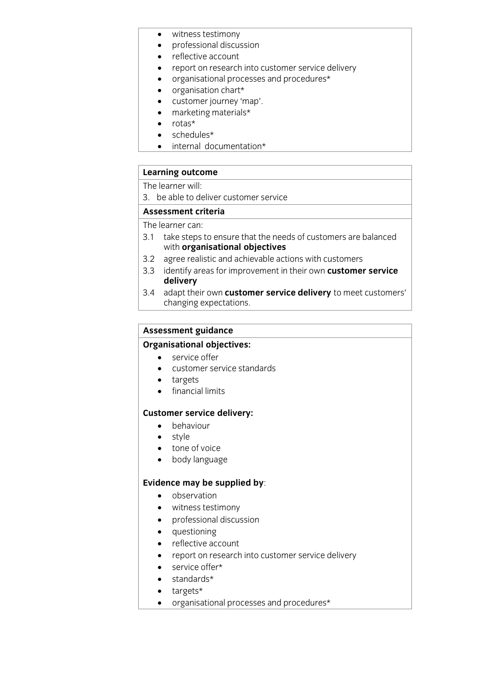- witness testimony
- professional discussion
- reflective account
- report on research into customer service delivery
- organisational processes and procedures\*
- organisation chart\*
- customer journey 'map'.<br>• marketing materials\*
- marketing materials\*<br>rotas\*
- rotas\*<br>• sched
- schedules\*<br>• internal do
- internal documentation\*

# **Learning outcome**<br>The learner will:

3. be able to deliver customer service

## Assessment criteria

The learner can:

- 3.1 take steps to ensure that the needs of customers are balanced with organisational objectives
- 3.2 agree realistic and achievable actions with customers
- 3.2 agree realistic and achievable actions with customers<br>3.3 adoptify areas for improvement in their even **custome** 3.3 identify areas for improvement in their own **customer service**  delivery<br>adapt their own **customer service delivery** to meet customers'
- 3.4 adapt their own **customer service delivery** to meet customers' change of the changing expectations.

# **Assessment guidance**

- **•** service offer • service offer<br>• customer se
- customer service standards
- targets
- **•** financial limits

- **Customer service density:**<br> **Customer Service** 
	- style
	-
	- tone of voice<br>• body language body language

- **Evidence may** be supplied by:<br> **•** observation
	- witness testimony
	- professional discussion
	- questioning
	- reflective account
	- report on research into customer service delivery
	- service offer\*
	- $\bullet$  standards\*
	- targets\*
	- organisational processes and procedures\*